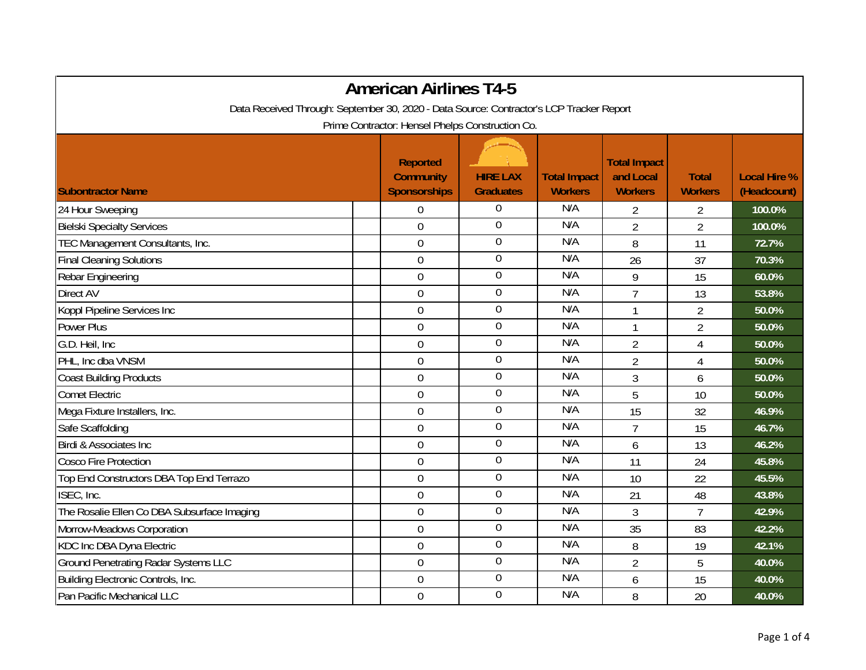|                                                                                          | <b>American Airlines T4-5</b>                              |                                     |                                       |                                                    |                                |                                    |
|------------------------------------------------------------------------------------------|------------------------------------------------------------|-------------------------------------|---------------------------------------|----------------------------------------------------|--------------------------------|------------------------------------|
| Data Received Through: September 30, 2020 - Data Source: Contractor's LCP Tracker Report |                                                            |                                     |                                       |                                                    |                                |                                    |
|                                                                                          | Prime Contractor: Hensel Phelps Construction Co.           |                                     |                                       |                                                    |                                |                                    |
| <b>Subontractor Name</b>                                                                 | <b>Reported</b><br><b>Community</b><br><b>Sponsorships</b> | <b>HIRE LAX</b><br><b>Graduates</b> | <b>Total Impact</b><br><b>Workers</b> | <b>Total Impact</b><br>and Local<br><b>Workers</b> | <b>Total</b><br><b>Workers</b> | <b>Local Hire %</b><br>(Headcount) |
| 24 Hour Sweeping                                                                         | $\overline{0}$                                             | $\boldsymbol{0}$                    | N/A                                   | $\overline{2}$                                     | $\overline{2}$                 | 100.0%                             |
| <b>Bielski Specialty Services</b>                                                        | $\overline{0}$                                             | $\overline{0}$                      | N/A                                   | $\overline{2}$                                     | $\overline{2}$                 | 100.0%                             |
| TEC Management Consultants, Inc.                                                         | $\mathbf 0$                                                | $\boldsymbol{0}$                    | N/A                                   | 8                                                  | 11                             | 72.7%                              |
| <b>Final Cleaning Solutions</b>                                                          | $\boldsymbol{0}$                                           | $\boldsymbol{0}$                    | N/A                                   | 26                                                 | 37                             | 70.3%                              |
| Rebar Engineering                                                                        | $\mathbf 0$                                                | $\boldsymbol{0}$                    | N/A                                   | 9                                                  | 15                             | 60.0%                              |
| <b>Direct AV</b>                                                                         | $\overline{0}$                                             | $\boldsymbol{0}$                    | N/A                                   | $\overline{7}$                                     | 13                             | 53.8%                              |
| Koppl Pipeline Services Inc                                                              | $\boldsymbol{0}$                                           | $\boldsymbol{0}$                    | N/A                                   | 1                                                  | $\overline{2}$                 | 50.0%                              |
| <b>Power Plus</b>                                                                        | $\mathbf 0$                                                | $\boldsymbol{0}$                    | N/A                                   | $\mathbf{1}$                                       | $\overline{2}$                 | 50.0%                              |
| G.D. Heil, Inc.                                                                          | $\overline{0}$                                             | $\overline{0}$                      | N/A                                   | $\overline{2}$                                     | 4                              | 50.0%                              |
| PHL, Inc dba VNSM                                                                        | $\boldsymbol{0}$                                           | $\boldsymbol{0}$                    | N/A                                   | $\overline{2}$                                     | $\overline{4}$                 | 50.0%                              |
| <b>Coast Building Products</b>                                                           | $\mathbf 0$                                                | $\boldsymbol{0}$                    | N/A                                   | 3                                                  | 6                              | 50.0%                              |
| <b>Comet Electric</b>                                                                    | $\overline{0}$                                             | $\overline{0}$                      | N/A                                   | 5                                                  | 10                             | 50.0%                              |
| Mega Fixture Installers, Inc.                                                            | $\mathbf 0$                                                | $\overline{0}$                      | N/A                                   | 15                                                 | 32                             | 46.9%                              |
| Safe Scaffolding                                                                         | $\mathbf 0$                                                | $\boldsymbol{0}$                    | N/A                                   | $\overline{7}$                                     | 15                             | 46.7%                              |
| Birdi & Associates Inc                                                                   | $\mathbf 0$                                                | $\boldsymbol{0}$                    | N/A                                   | 6                                                  | 13                             | 46.2%                              |
| <b>Cosco Fire Protection</b>                                                             | $\mathbf 0$                                                | $\boldsymbol{0}$                    | N/A                                   | 11                                                 | 24                             | 45.8%                              |
| Top End Constructors DBA Top End Terrazo                                                 | $\mathbf 0$                                                | $\boldsymbol{0}$                    | N/A                                   | 10                                                 | 22                             | 45.5%                              |
| ISEC, Inc.                                                                               | $\overline{0}$                                             | $\boldsymbol{0}$                    | N/A                                   | 21                                                 | 48                             | 43.8%                              |
| The Rosalie Ellen Co DBA Subsurface Imaging                                              | $\overline{0}$                                             | $\overline{0}$                      | N/A                                   | 3                                                  | $\overline{7}$                 | 42.9%                              |
| Morrow-Meadows Corporation                                                               | $\mathbf 0$                                                | $\boldsymbol{0}$                    | N/A                                   | 35                                                 | 83                             | 42.2%                              |
| KDC Inc DBA Dyna Electric                                                                | $\boldsymbol{0}$                                           | $\boldsymbol{0}$                    | N/A                                   | 8                                                  | 19                             | 42.1%                              |
| <b>Ground Penetrating Radar Systems LLC</b>                                              | $\mathbf 0$                                                | $\boldsymbol{0}$                    | N/A                                   | $\overline{2}$                                     | 5                              | 40.0%                              |
| Building Electronic Controls, Inc.                                                       | $\overline{0}$                                             | $\boldsymbol{0}$                    | N/A                                   | 6                                                  | 15                             | 40.0%                              |
| Pan Pacific Mechanical LLC                                                               | $\mathbf 0$                                                | $\boldsymbol{0}$                    | N/A                                   | 8                                                  | 20                             | 40.0%                              |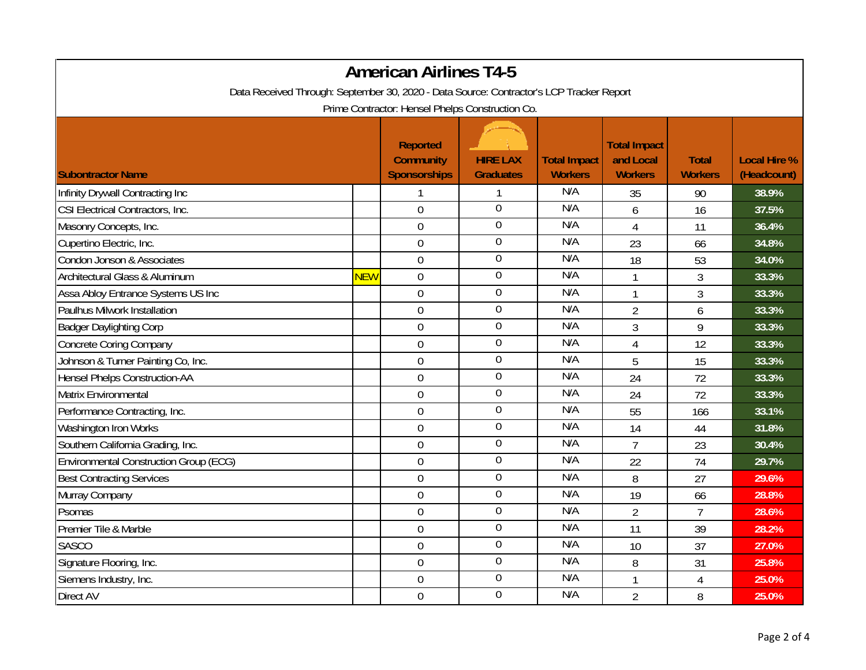| <b>American Airlines T4-5</b>                                                            |            |                                                            |                                     |                                       |                                                    |                                |                                    |  |
|------------------------------------------------------------------------------------------|------------|------------------------------------------------------------|-------------------------------------|---------------------------------------|----------------------------------------------------|--------------------------------|------------------------------------|--|
| Data Received Through: September 30, 2020 - Data Source: Contractor's LCP Tracker Report |            |                                                            |                                     |                                       |                                                    |                                |                                    |  |
| Prime Contractor: Hensel Phelps Construction Co.                                         |            |                                                            |                                     |                                       |                                                    |                                |                                    |  |
| <b>Subontractor Name</b>                                                                 |            | <b>Reported</b><br><b>Community</b><br><b>Sponsorships</b> | <b>HIRE LAX</b><br><b>Graduates</b> | <b>Total Impact</b><br><b>Workers</b> | <b>Total Impact</b><br>and Local<br><b>Workers</b> | <b>Total</b><br><b>Workers</b> | <b>Local Hire %</b><br>(Headcount) |  |
| Infinity Drywall Contracting Inc                                                         |            | 1                                                          | 1                                   | N/A                                   | 35                                                 | 90                             | 38.9%                              |  |
| CSI Electrical Contractors, Inc.                                                         |            | $\overline{0}$                                             | $\overline{0}$                      | N/A                                   | 6                                                  | 16                             | 37.5%                              |  |
| Masonry Concepts, Inc.                                                                   |            | $\boldsymbol{0}$                                           | $\boldsymbol{0}$                    | N/A                                   | $\overline{4}$                                     | 11                             | 36.4%                              |  |
| Cupertino Electric, Inc.                                                                 |            | $\boldsymbol{0}$                                           | $\boldsymbol{0}$                    | N/A                                   | 23                                                 | 66                             | 34.8%                              |  |
| Condon Jonson & Associates                                                               |            | $\boldsymbol{0}$                                           | $\boldsymbol{0}$                    | N/A                                   | 18                                                 | 53                             | 34.0%                              |  |
| Architectural Glass & Aluminum                                                           | <b>NEW</b> | $\boldsymbol{0}$                                           | $\boldsymbol{0}$                    | N/A                                   | $\mathbf{1}$                                       | 3                              | 33.3%                              |  |
| Assa Abloy Entrance Systems US Inc                                                       |            | $\boldsymbol{0}$                                           | $\boldsymbol{0}$                    | N/A                                   | 1                                                  | 3                              | 33.3%                              |  |
| Paulhus Milwork Installation                                                             |            | $\boldsymbol{0}$                                           | $\boldsymbol{0}$                    | N/A                                   | $\overline{2}$                                     | 6                              | 33.3%                              |  |
| <b>Badger Daylighting Corp</b>                                                           |            | $\overline{0}$                                             | $\overline{0}$                      | N/A                                   | 3                                                  | 9                              | 33.3%                              |  |
| <b>Concrete Coring Company</b>                                                           |            | $\mathbf 0$                                                | $\boldsymbol{0}$                    | N/A                                   | 4                                                  | 12                             | 33.3%                              |  |
| Johnson & Turner Painting Co, Inc.                                                       |            | $\boldsymbol{0}$                                           | $\boldsymbol{0}$                    | N/A                                   | 5                                                  | 15                             | 33.3%                              |  |
| <b>Hensel Phelps Construction-AA</b>                                                     |            | $\mathbf 0$                                                | $\boldsymbol{0}$                    | N/A                                   | 24                                                 | 72                             | 33.3%                              |  |
| Matrix Environmental                                                                     |            | $\mathbf 0$                                                | $\mathbf 0$                         | N/A                                   | 24                                                 | 72                             | 33.3%                              |  |
| Performance Contracting, Inc.                                                            |            | $\mathbf 0$                                                | $\boldsymbol{0}$                    | N/A                                   | 55                                                 | 166                            | 33.1%                              |  |
| Washington Iron Works                                                                    |            | $\boldsymbol{0}$                                           | $\boldsymbol{0}$                    | N/A                                   | 14                                                 | 44                             | 31.8%                              |  |
| Southern California Grading, Inc.                                                        |            | $\overline{0}$                                             | $\mathbf 0$                         | N/A                                   | $\overline{7}$                                     | 23                             | 30.4%                              |  |
| <b>Environmental Construction Group (ECG)</b>                                            |            | $\mathbf 0$                                                | $\mathbf 0$                         | N/A                                   | 22                                                 | 74                             | 29.7%                              |  |
| <b>Best Contracting Services</b>                                                         |            | $\mathbf 0$                                                | $\mathbf 0$                         | N/A                                   | 8                                                  | 27                             | 29.6%                              |  |
| Murray Company                                                                           |            | $\overline{0}$                                             | $\boldsymbol{0}$                    | N/A                                   | 19                                                 | 66                             | 28.8%                              |  |
| Psomas                                                                                   |            | $\boldsymbol{0}$                                           | $\overline{0}$                      | N/A                                   | $\overline{2}$                                     | $\overline{7}$                 | 28.6%                              |  |
| Premier Tile & Marble                                                                    |            | $\boldsymbol{0}$                                           | $\mathbf 0$                         | N/A                                   | 11                                                 | 39                             | 28.2%                              |  |
| <b>SASCO</b>                                                                             |            | $\boldsymbol{0}$                                           | $\boldsymbol{0}$                    | N/A                                   | 10                                                 | 37                             | 27.0%                              |  |
| Signature Flooring, Inc.                                                                 |            | $\mathbf 0$                                                | $\boldsymbol{0}$                    | N/A                                   | 8                                                  | 31                             | 25.8%                              |  |
| Siemens Industry, Inc.                                                                   |            | $\mathbf 0$                                                | $\overline{0}$                      | N/A                                   |                                                    | $\overline{4}$                 | 25.0%                              |  |
| Direct AV                                                                                |            | $\mathbf 0$                                                | $\boldsymbol{0}$                    | N/A                                   | $\overline{2}$                                     | 8                              | 25.0%                              |  |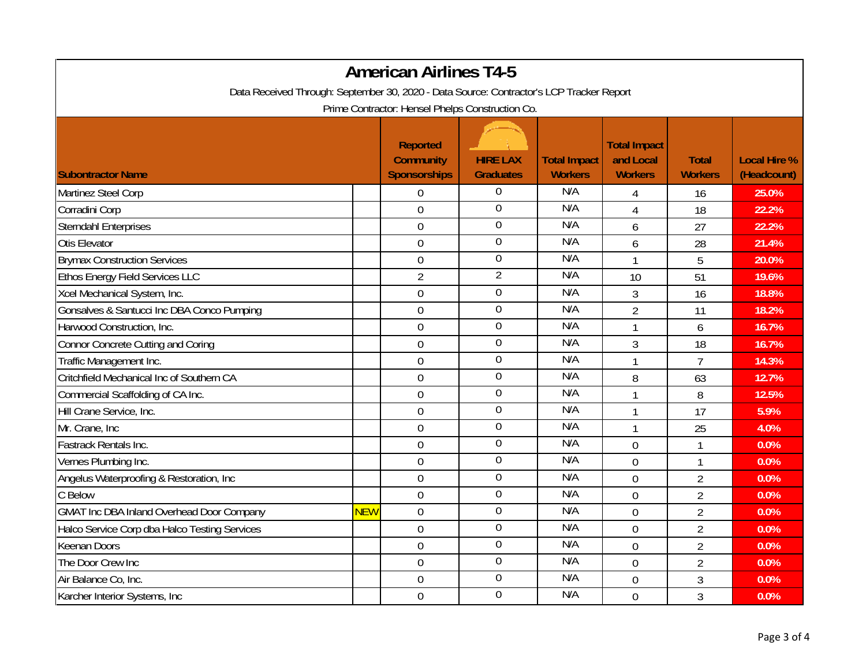| <b>American Airlines T4-5</b>                                                            |            |                                                            |                                     |                                       |                                                    |                                |                                    |  |
|------------------------------------------------------------------------------------------|------------|------------------------------------------------------------|-------------------------------------|---------------------------------------|----------------------------------------------------|--------------------------------|------------------------------------|--|
| Data Received Through: September 30, 2020 - Data Source: Contractor's LCP Tracker Report |            |                                                            |                                     |                                       |                                                    |                                |                                    |  |
| Prime Contractor: Hensel Phelps Construction Co.                                         |            |                                                            |                                     |                                       |                                                    |                                |                                    |  |
| <b>Subontractor Name</b>                                                                 |            | <b>Reported</b><br><b>Community</b><br><b>Sponsorships</b> | <b>HIRE LAX</b><br><b>Graduates</b> | <b>Total Impact</b><br><b>Workers</b> | <b>Total Impact</b><br>and Local<br><b>Workers</b> | <b>Total</b><br><b>Workers</b> | <b>Local Hire %</b><br>(Headcount) |  |
| Martinez Steel Corp                                                                      |            | $\boldsymbol{0}$                                           | 0                                   | N/A                                   | 4                                                  | 16                             | 25.0%                              |  |
| Corradini Corp                                                                           |            | $\overline{0}$                                             | $\overline{0}$                      | N/A                                   | $\overline{4}$                                     | 18                             | 22.2%                              |  |
| <b>Sterndahl Enterprises</b>                                                             |            | $\boldsymbol{0}$                                           | $\boldsymbol{0}$                    | N/A                                   | 6                                                  | 27                             | 22.2%                              |  |
| Otis Elevator                                                                            |            | $\boldsymbol{0}$                                           | 0                                   | N/A                                   | 6                                                  | 28                             | 21.4%                              |  |
| <b>Brymax Construction Services</b>                                                      |            | $\boldsymbol{0}$                                           | $\mathbf 0$                         | N/A                                   | $\mathbf{1}$                                       | 5                              | 20.0%                              |  |
| Ethos Energy Field Services LLC                                                          |            | $\overline{2}$                                             | $\overline{2}$                      | N/A                                   | 10                                                 | 51                             | 19.6%                              |  |
| Xcel Mechanical System, Inc.                                                             |            | $\boldsymbol{0}$                                           | $\boldsymbol{0}$                    | N/A                                   | 3                                                  | 16                             | 18.8%                              |  |
| Gonsalves & Santucci Inc DBA Conco Pumping                                               |            | $\overline{0}$                                             | $\mathbf 0$                         | N/A                                   | $\overline{2}$                                     | 11                             | 18.2%                              |  |
| Harwood Construction, Inc.                                                               |            | $\mathbf 0$                                                | $\overline{0}$                      | N/A                                   | $\mathbf{1}$                                       | 6                              | 16.7%                              |  |
| <b>Connor Concrete Cutting and Coring</b>                                                |            | $\overline{0}$                                             | $\mathbf 0$                         | N/A                                   | 3                                                  | 18                             | 16.7%                              |  |
| Traffic Management Inc.                                                                  |            | $\boldsymbol{0}$                                           | $\boldsymbol{0}$                    | N/A                                   | $\mathbf{1}$                                       | $\overline{7}$                 | 14.3%                              |  |
| Critchfield Mechanical Inc of Southern CA                                                |            | $\mathbf 0$                                                | 0                                   | N/A                                   | 8                                                  | 63                             | 12.7%                              |  |
| Commercial Scaffolding of CA Inc.                                                        |            | $\overline{0}$                                             | 0                                   | N/A                                   | $\mathbf{1}$                                       | 8                              | 12.5%                              |  |
| Hill Crane Service, Inc.                                                                 |            | $\boldsymbol{0}$                                           | $\boldsymbol{0}$                    | N/A                                   | $\mathbf{1}$                                       | 17                             | 5.9%                               |  |
| Mr. Crane, Inc.                                                                          |            | $\mathbf 0$                                                | 0                                   | N/A                                   | $\mathbf{1}$                                       | 25                             | 4.0%                               |  |
| Fastrack Rentals Inc.                                                                    |            | $\overline{0}$                                             | $\mathbf 0$                         | N/A                                   | $\overline{0}$                                     | $\mathbf{1}$                   | 0.0%                               |  |
| Vernes Plumbing Inc.                                                                     |            | $\mathbf 0$                                                | $\overline{0}$                      | N/A                                   | $\overline{0}$                                     | $\mathbf{1}$                   | 0.0%                               |  |
| Angelus Waterproofing & Restoration, Inc.                                                |            | $\overline{0}$                                             | $\mathbf 0$                         | N/A                                   | $\overline{0}$                                     | $\overline{2}$                 | 0.0%                               |  |
| C Below                                                                                  |            | $\boldsymbol{0}$                                           | $\mathbf 0$                         | N/A                                   | $\overline{0}$                                     | $\overline{2}$                 | 0.0%                               |  |
| <b>GMAT Inc DBA Inland Overhead Door Company</b>                                         | <b>NEW</b> | $\boldsymbol{0}$                                           | $\overline{0}$                      | N/A                                   | $\overline{0}$                                     | $\overline{2}$                 | 0.0%                               |  |
| Halco Service Corp dba Halco Testing Services                                            |            | $\boldsymbol{0}$                                           | 0                                   | N/A                                   | $\mathbf 0$                                        | $\overline{2}$                 | 0.0%                               |  |
| <b>Keenan Doors</b>                                                                      |            | $\boldsymbol{0}$                                           | $\boldsymbol{0}$                    | N/A                                   | $\overline{0}$                                     | $\overline{2}$                 | 0.0%                               |  |
| The Door Crew Inc                                                                        |            | $\mathbf 0$                                                | 0                                   | N/A                                   | $\overline{0}$                                     | $\overline{2}$                 | 0.0%                               |  |
| Air Balance Co, Inc.                                                                     |            | $\mathbf 0$                                                | $\overline{0}$                      | N/A                                   | $\overline{0}$                                     | 3                              | 0.0%                               |  |
| Karcher Interior Systems, Inc                                                            |            | $\mathbf 0$                                                | $\overline{0}$                      | N/A                                   | $\overline{0}$                                     | $\overline{3}$                 | 0.0%                               |  |